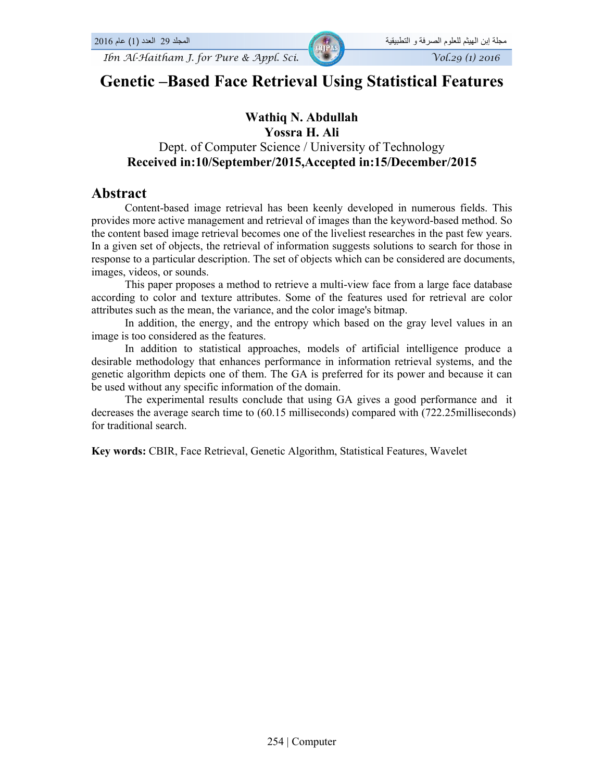*Ibn Al-Haitham J. for Pure & Appl. Sci.*  $\sqrt{\frac{1}{201}}$   $\sqrt{\frac{1}{2016}}$ 

# **Genetic –Based Face Retrieval Using Statistical Features**

### **Wathiq N. Abdullah Yossra H. Ali**

# Dept. of Computer Science / University of Technology **Received in:10/September/2015,Accepted in:15/December/2015**

# **Abstract**

Content-based image retrieval has been keenly developed in numerous fields. This provides more active management and retrieval of images than the keyword-based method. So the content based image retrieval becomes one of the liveliest researches in the past few years. In a given set of objects, the retrieval of information suggests solutions to search for those in response to a particular description. The set of objects which can be considered are documents, images, videos, or sounds.

This paper proposes a method to retrieve a multi-view face from a large face database according to color and texture attributes. Some of the features used for retrieval are color attributes such as the mean, the variance, and the color image's bitmap.

In addition, the energy, and the entropy which based on the gray level values in an image is too considered as the features.

In addition to statistical approaches, models of artificial intelligence produce a desirable methodology that enhances performance in information retrieval systems, and the genetic algorithm depicts one of them. The GA is preferred for its power and because it can be used without any specific information of the domain.

The experimental results conclude that using GA gives a good performance and it decreases the average search time to (60.15 milliseconds) compared with (722.25milliseconds) for traditional search.

**Key words:** CBIR, Face Retrieval, Genetic Algorithm, Statistical Features, Wavelet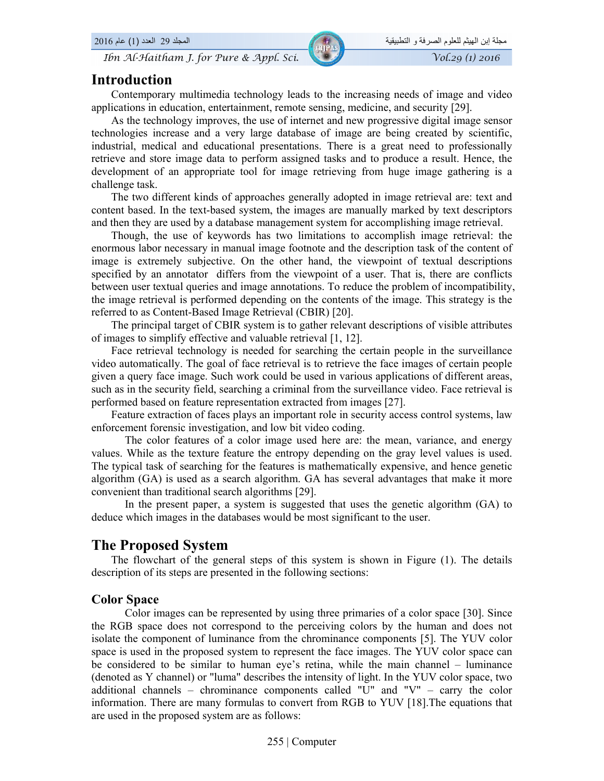*Ibn Al-Haitham J. for Pure & Appl. Sci.*  $\sqrt{V_0}$   $\sqrt{V_0}$   $\sqrt{V_0}$   $\sqrt{V_0}$   $\sqrt{V_0}$   $\sqrt{V_0}$   $\sqrt{V_0}$   $\sqrt{V_0}$   $\sqrt{V_0}$   $\sqrt{V_0}$   $\sqrt{V_0}$   $\sqrt{V_0}$   $\sqrt{V_0}$   $\sqrt{V_0}$   $\sqrt{V_0}$   $\sqrt{V_0}$   $\sqrt{V_0}$   $\sqrt{V_0}$ 

# **Introduction**

Contemporary multimedia technology leads to the increasing needs of image and video applications in education, entertainment, remote sensing, medicine, and security [29].

As the technology improves, the use of internet and new progressive digital image sensor technologies increase and a very large database of image are being created by scientific, industrial, medical and educational presentations. There is a great need to professionally retrieve and store image data to perform assigned tasks and to produce a result. Hence, the development of an appropriate tool for image retrieving from huge image gathering is a challenge task.

The two different kinds of approaches generally adopted in image retrieval are: text and content based. In the text-based system, the images are manually marked by text descriptors and then they are used by a database management system for accomplishing image retrieval.

Though, the use of keywords has two limitations to accomplish image retrieval: the enormous labor necessary in manual image footnote and the description task of the content of image is extremely subjective. On the other hand, the viewpoint of textual descriptions specified by an annotator differs from the viewpoint of a user. That is, there are conflicts between user textual queries and image annotations. To reduce the problem of incompatibility, the image retrieval is performed depending on the contents of the image. This strategy is the referred to as Content-Based Image Retrieval (CBIR) [20].

The principal target of CBIR system is to gather relevant descriptions of visible attributes of images to simplify effective and valuable retrieval [1, 12].

Face retrieval technology is needed for searching the certain people in the surveillance video automatically. The goal of face retrieval is to retrieve the face images of certain people given a query face image. Such work could be used in various applications of different areas, such as in the security field, searching a criminal from the surveillance video. Face retrieval is performed based on feature representation extracted from images [27].

Feature extraction of faces plays an important role in security access control systems, law enforcement forensic investigation, and low bit video coding.

The color features of a color image used here are: the mean, variance, and energy values. While as the texture feature the entropy depending on the gray level values is used. The typical task of searching for the features is mathematically expensive, and hence genetic algorithm (GA) is used as a search algorithm. GA has several advantages that make it more convenient than traditional search algorithms [29].

In the present paper, a system is suggested that uses the genetic algorithm (GA) to deduce which images in the databases would be most significant to the user.

# **The Proposed System**

The flowchart of the general steps of this system is shown in Figure (1). The details description of its steps are presented in the following sections:

### **Color Space**

Color images can be represented by using three primaries of a color space [30]. Since the RGB space does not correspond to the perceiving colors by the human and does not isolate the component of luminance from the chrominance components [5]. The YUV color space is used in the proposed system to represent the face images. The YUV color space can be considered to be similar to human eye's retina, while the main channel – luminance (denoted as Y channel) or "luma" describes the intensity of light. In the YUV color space, two additional channels – chrominance components called "U" and "V" – carry the color information. There are many formulas to convert from RGB to YUV [18].The equations that are used in the proposed system are as follows: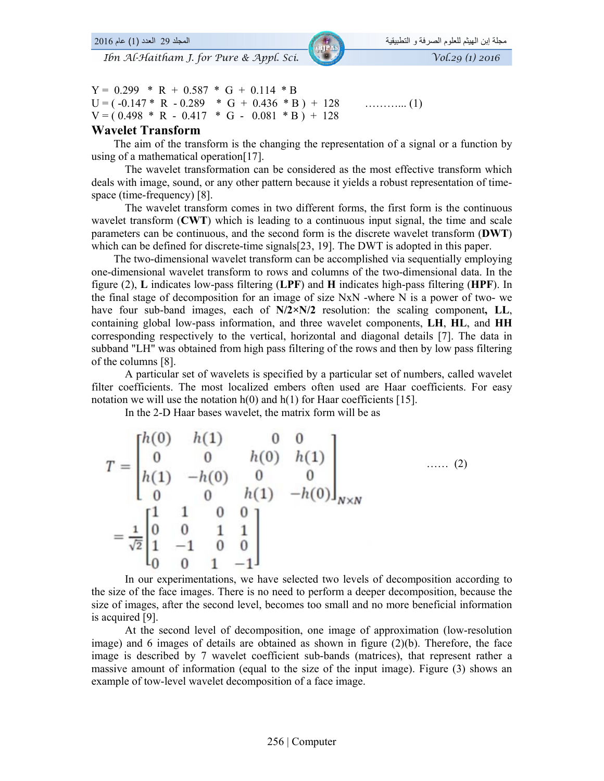$Y = 0.299 * R + 0.587 * G + 0.114 * B$ U = ( -0.147 \* R - 0.289 \* G + 0.436 \* B ) + 128 ………... (1)  $V = (0.498 * R - 0.417 * G - 0.081 * B) + 128$ 

### **Wavelet Transform**

 The aim of the transform is the changing the representation of a signal or a function by using of a mathematical operation[17].

The wavelet transformation can be considered as the most effective transform which deals with image, sound, or any other pattern because it yields a robust representation of timespace (time-frequency) [8].

The wavelet transform comes in two different forms, the first form is the continuous wavelet transform (**CWT**) which is leading to a continuous input signal, the time and scale parameters can be continuous, and the second form is the discrete wavelet transform (**DWT**) which can be defined for discrete-time signals[23, 19]. The DWT is adopted in this paper.

 The two-dimensional wavelet transform can be accomplished via sequentially employing one-dimensional wavelet transform to rows and columns of the two-dimensional data. In the figure (2), **L** indicates low-pass filtering (**LPF**) and **H** indicates high-pass filtering (**HPF**). In the final stage of decomposition for an image of size NxN -where N is a power of two- we have four sub-band images, each of **N/2×N/2** resolution: the scaling component**, LL**, containing global low-pass information, and three wavelet components, **LH**, **HL**, and **HH** corresponding respectively to the vertical, horizontal and diagonal details [7]. The data in subband "LH" was obtained from high pass filtering of the rows and then by low pass filtering of the columns [8].

A particular set of wavelets is specified by a particular set of numbers, called wavelet filter coefficients. The most localized embers often used are Haar coefficients. For easy notation we will use the notation  $h(0)$  and  $h(1)$  for Haar coefficients [15].

In the 2-D Haar bases wavelet, the matrix form will be as

$$
T = \begin{bmatrix} h(0) & h(1) & 0 & 0 \\ 0 & 0 & h(0) & h(1) \\ h(1) & -h(0) & 0 & 0 \\ 0 & 0 & h(1) & -h(0) \end{bmatrix}_{N \times N} \quad \dots \quad (2)
$$

$$
= \frac{1}{\sqrt{2}} \begin{bmatrix} 1 & 1 & 0 & 0 \\ 0 & 0 & 1 & 1 \\ 1 & -1 & 0 & 0 \\ 0 & 0 & 1 & -1 \end{bmatrix}
$$

In our experimentations, we have selected two levels of decomposition according to the size of the face images. There is no need to perform a deeper decomposition, because the size of images, after the second level, becomes too small and no more beneficial information is acquired [9].

At the second level of decomposition, one image of approximation (low-resolution image) and 6 images of details are obtained as shown in figure (2)(b). Therefore, the face image is described by 7 wavelet coefficient sub-bands (matrices), that represent rather a massive amount of information (equal to the size of the input image). Figure (3) shows an example of tow-level wavelet decomposition of a face image.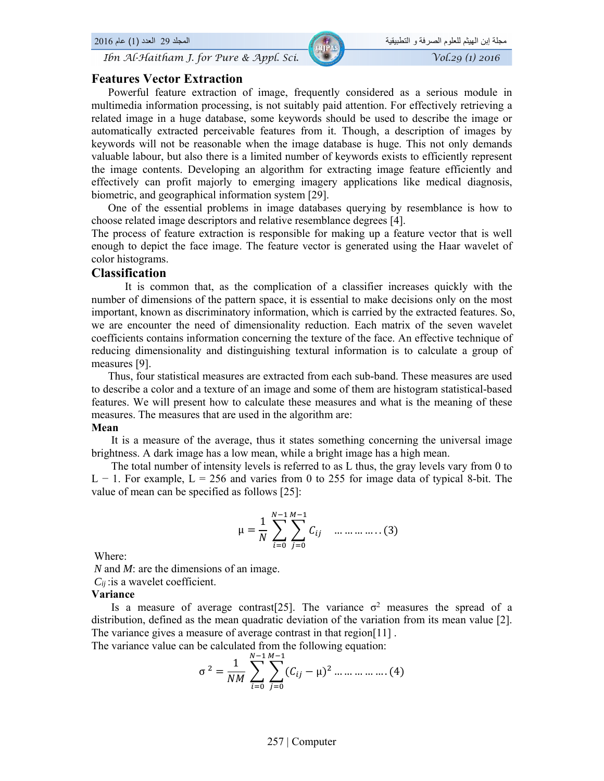*Ibn Al-Haitham J. for Pure & Appl. Sci.*  $\sqrt{0.29}$  (1) 2016

### **Features Vector Extraction**

Powerful feature extraction of image, frequently considered as a serious module in multimedia information processing, is not suitably paid attention. For effectively retrieving a related image in a huge database, some keywords should be used to describe the image or automatically extracted perceivable features from it. Though, a description of images by keywords will not be reasonable when the image database is huge. This not only demands valuable labour, but also there is a limited number of keywords exists to efficiently represent the image contents. Developing an algorithm for extracting image feature efficiently and effectively can profit majorly to emerging imagery applications like medical diagnosis, biometric, and geographical information system [29].

 One of the essential problems in image databases querying by resemblance is how to choose related image descriptors and relative resemblance degrees [4].

The process of feature extraction is responsible for making up a feature vector that is well enough to depict the face image. The feature vector is generated using the Haar wavelet of color histograms.

### **Classification**

It is common that, as the complication of a classifier increases quickly with the number of dimensions of the pattern space, it is essential to make decisions only on the most important, known as discriminatory information, which is carried by the extracted features. So, we are encounter the need of dimensionality reduction. Each matrix of the seven wavelet coefficients contains information concerning the texture of the face. An effective technique of reducing dimensionality and distinguishing textural information is to calculate a group of measures [9].

Thus, four statistical measures are extracted from each sub-band. These measures are used to describe a color and a texture of an image and some of them are histogram statistical-based features. We will present how to calculate these measures and what is the meaning of these measures. The measures that are used in the algorithm are:

#### **Mean**

It is a measure of the average, thus it states something concerning the universal image brightness. A dark image has a low mean, while a bright image has a high mean.

The total number of intensity levels is referred to as L thus, the gray levels vary from 0 to L − 1. For example, L = 256 and varies from 0 to 255 for image data of typical 8-bit. The value of mean can be specified as follows [25]:

$$
\mu = \frac{1}{N} \sum_{i=0}^{N-1} \sum_{j=0}^{M-1} C_{ij} \quad \dots \dots \dots \dots (3)
$$

Where:

*N* and *M*: are the dimensions of an image.  *Cij* :is a wavelet coefficient.

#### **Variance**

Is a measure of average contrast [25]. The variance  $\sigma^2$  measures the spread of a distribution, defined as the mean quadratic deviation of the variation from its mean value [2]. The variance gives a measure of average contrast in that region[11] .

The variance value can be calculated from the following equation:

$$
\sigma^{2} = \frac{1}{NM} \sum_{i=0}^{N-1} \sum_{j=0}^{M-1} (C_{ij} - \mu)^{2} \dots \dots \dots \dots \dots (4)
$$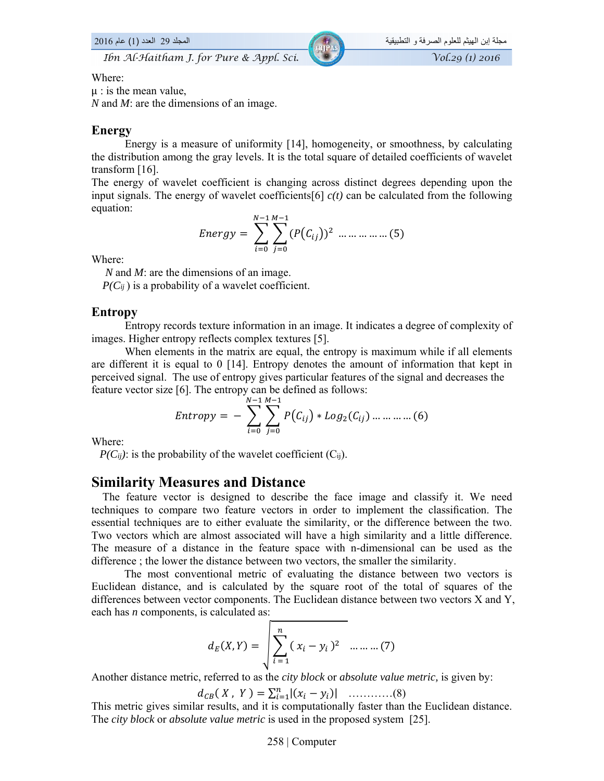*Ibn Al-Haitham J. for Pure & Appl. Sci.*  $\sqrt{\frac{1}{2016}}$  *Vol.29 (1) 2016* 

### Where:

 $\mu$  : is the mean value,

*N* and *M*: are the dimensions of an image.

### **Energy**

Energy is a measure of uniformity [14], homogeneity, or smoothness, by calculating the distribution among the gray levels. It is the total square of detailed coefficients of wavelet transform [16].

The energy of wavelet coefficient is changing across distinct degrees depending upon the input signals. The energy of wavelet coefficients[6]  $c(t)$  can be calculated from the following equation:

Energy = 
$$
\sum_{i=0}^{N-1} \sum_{j=0}^{M-1} (P(C_{ij}))^{2} \dots \dots \dots \dots \dots (5)
$$

Where:

*N* and *M*: are the dimensions of an image.

 $P(C_{ij})$  is a probability of a wavelet coefficient.

### **Entropy**

Entropy records texture information in an image. It indicates a degree of complexity of images. Higher entropy reflects complex textures [5].

When elements in the matrix are equal, the entropy is maximum while if all elements are different it is equal to 0 [14]. Entropy denotes the amount of information that kept in perceived signal. The use of entropy gives particular features of the signal and decreases the feature vector size [6]. The entropy can be defined as follows:

$$
Entropy = -\sum_{i=0}^{N-1} \sum_{j=0}^{M-1} P(C_{ij}) * Log_2(C_{ij}) \dots \dots \dots \dots (6)
$$

Where:

 $P(C_{ij})$ : is the probability of the wavelet coefficient (C<sub>ij</sub>).

# **Similarity Measures and Distance**

 The feature vector is designed to describe the face image and classify it. We need techniques to compare two feature vectors in order to implement the classification. The essential techniques are to either evaluate the similarity, or the difference between the two. Two vectors which are almost associated will have a high similarity and a little difference. The measure of a distance in the feature space with n-dimensional can be used as the difference ; the lower the distance between two vectors, the smaller the similarity.

The most conventional metric of evaluating the distance between two vectors is Euclidean distance, and is calculated by the square root of the total of squares of the differences between vector components. The Euclidean distance between two vectors X and Y, each has *n* components, is calculated as:

$$
d_E(X,Y) = \sqrt{\sum_{i=1}^{n} (x_i - y_i)^2}
$$
 .... .... (7)

Another distance metric, referred to as the *city block* or *absolute value metric,* is given by:

݀ሺ ܺ , ܻ ሻ ൌ ∑ |ሺݔ െ ݕሻ| ୀଵ …………(8)

This metric gives similar results, and it is computationally faster than the Euclidean distance. The *city block* or *absolute value metric* is used in the proposed system [25].

#### 258 | Computer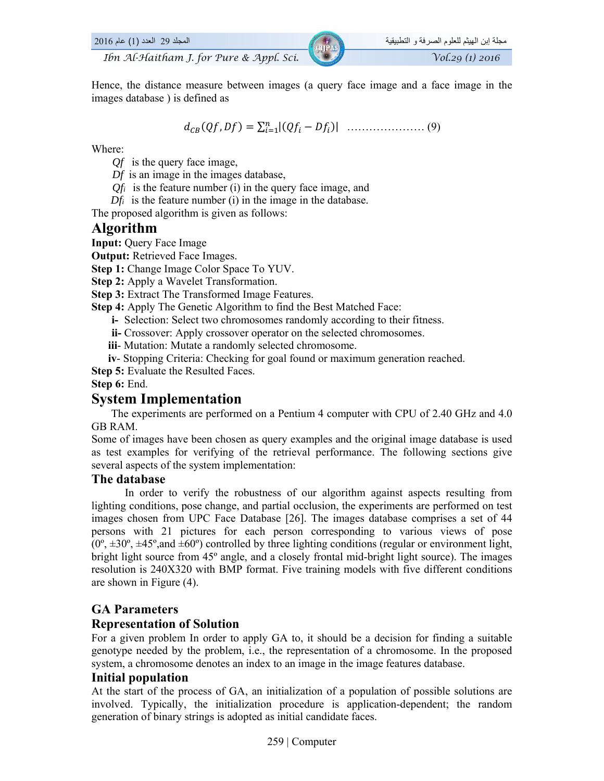

Hence, the distance measure between images (a query face image and a face image in the images database ) is defined as

݀ሺ݂ܳ, ܦ݂ሻ ൌ ∑ |ሺ݂ܳ െ ܦ݂ሻ| ୀଵ ………………… (9)

Where:

- *Qf* is the query face image,
- *Df* is an image in the images database,
- *Qfi* is the feature number (i) in the query face image, and
- *Dfi* is the feature number (i) in the image in the database.

The proposed algorithm is given as follows:

# **Algorithm**

**Input:** Query Face Image

**Output:** Retrieved Face Images.

**Step 1:** Change Image Color Space To YUV.

**Step 2:** Apply a Wavelet Transformation.

**Step 3:** Extract The Transformed Image Features.

**Step 4:** Apply The Genetic Algorithm to find the Best Matched Face:

**i-** Selection: Select two chromosomes randomly according to their fitness.

**ii-** Crossover: Apply crossover operator on the selected chromosomes.

**iii**- Mutation: Mutate a randomly selected chromosome.

**iv**- Stopping Criteria: Checking for goal found or maximum generation reached.

**Step 5:** Evaluate the Resulted Faces.

**Step 6:** End.

# **System Implementation**

The experiments are performed on a Pentium 4 computer with CPU of 2.40 GHz and 4.0 GB RAM.

Some of images have been chosen as query examples and the original image database is used as test examples for verifying of the retrieval performance. The following sections give several aspects of the system implementation:

### **The database**

In order to verify the robustness of our algorithm against aspects resulting from lighting conditions, pose change, and partial occlusion, the experiments are performed on test images chosen from UPC Face Database [26]. The images database comprises a set of 44 persons with 21 pictures for each person corresponding to various views of pose  $(0^{\circ}, \pm 30^{\circ}, \pm 45^{\circ}, \pm 45^{\circ})$  controlled by three lighting conditions (regular or environment light, bright light source from 45º angle, and a closely frontal mid-bright light source). The images resolution is 240X320 with BMP format. Five training models with five different conditions are shown in Figure (4).

# **GA Parameters**

# **Representation of Solution**

For a given problem In order to apply GA to, it should be a decision for finding a suitable genotype needed by the problem, i.e., the representation of a chromosome. In the proposed system, a chromosome denotes an index to an image in the image features database.

# **Initial population**

At the start of the process of GA, an initialization of a population of possible solutions are involved. Typically, the initialization procedure is application-dependent; the random generation of binary strings is adopted as initial candidate faces.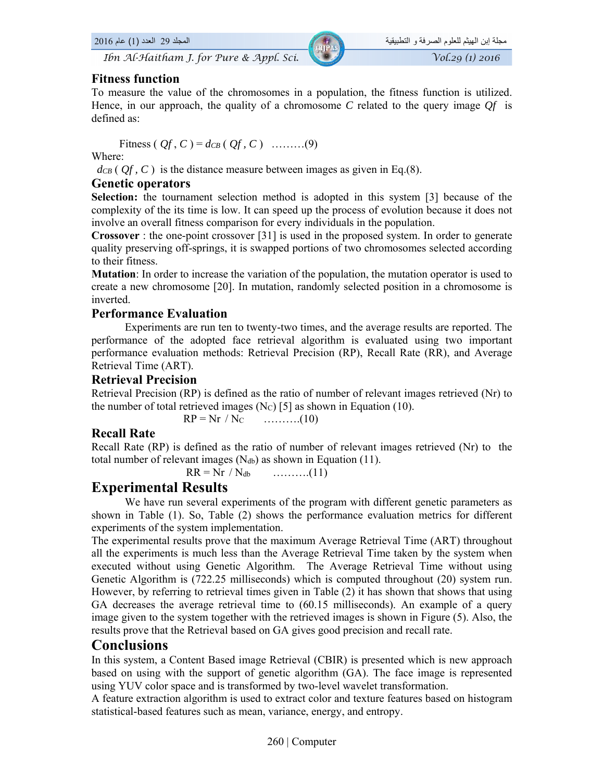*Ibn Al-Haitham J. for Pure & Appl. Sci.*  $\sqrt{0.29}$  (1) 2016

### **Fitness function**

To measure the value of the chromosomes in a population, the fitness function is utilized. Hence, in our approach, the quality of a chromosome *C* related to the query image *Qf* is defined as:

$$
Fitness(Qf, C) = d_{CB}(Qf, C) \quad ....... (9)
$$

Where:

 $d_{CB}$  ( $Qf$ ,  $C$ ) is the distance measure between images as given in Eq.(8).

### **Genetic operators**

**Selection:** the tournament selection method is adopted in this system [3] because of the complexity of the its time is low. It can speed up the process of evolution because it does not involve an overall fitness comparison for every individuals in the population.

**Crossover** : the one-point crossover [31] is used in the proposed system. In order to generate quality preserving off-springs, it is swapped portions of two chromosomes selected according to their fitness.

**Mutation**: In order to increase the variation of the population, the mutation operator is used to create a new chromosome [20]. In mutation, randomly selected position in a chromosome is inverted.

### **Performance Evaluation**

Experiments are run ten to twenty-two times, and the average results are reported. The performance of the adopted face retrieval algorithm is evaluated using two important performance evaluation methods: Retrieval Precision (RP), Recall Rate (RR), and Average Retrieval Time (ART).

### **Retrieval Precision**

Retrieval Precision (RP) is defined as the ratio of number of relevant images retrieved (Nr) to the number of total retrieved images (Nc) [5] as shown in Equation (10).

 $RP = Nr / N_C$  ………..(10)

### **Recall Rate**

Recall Rate (RP) is defined as the ratio of number of relevant images retrieved (Nr) to the total number of relevant images  $(N_{db})$  as shown in Equation (11).

 $RR = Nr / N_{db}$  ………..(11)

# **Experimental Results**

We have run several experiments of the program with different genetic parameters as shown in Table (1). So, Table (2) shows the performance evaluation metrics for different experiments of the system implementation.

The experimental results prove that the maximum Average Retrieval Time (ART) throughout all the experiments is much less than the Average Retrieval Time taken by the system when executed without using Genetic Algorithm. The Average Retrieval Time without using Genetic Algorithm is (722.25 milliseconds) which is computed throughout (20) system run. However, by referring to retrieval times given in Table (2) it has shown that shows that using GA decreases the average retrieval time to (60.15 milliseconds). An example of a query image given to the system together with the retrieved images is shown in Figure (5). Also, the results prove that the Retrieval based on GA gives good precision and recall rate.

# **Conclusions**

In this system, a Content Based image Retrieval (CBIR) is presented which is new approach based on using with the support of genetic algorithm (GA). The face image is represented using YUV color space and is transformed by two-level wavelet transformation.

A feature extraction algorithm is used to extract color and texture features based on histogram statistical-based features such as mean, variance, energy, and entropy.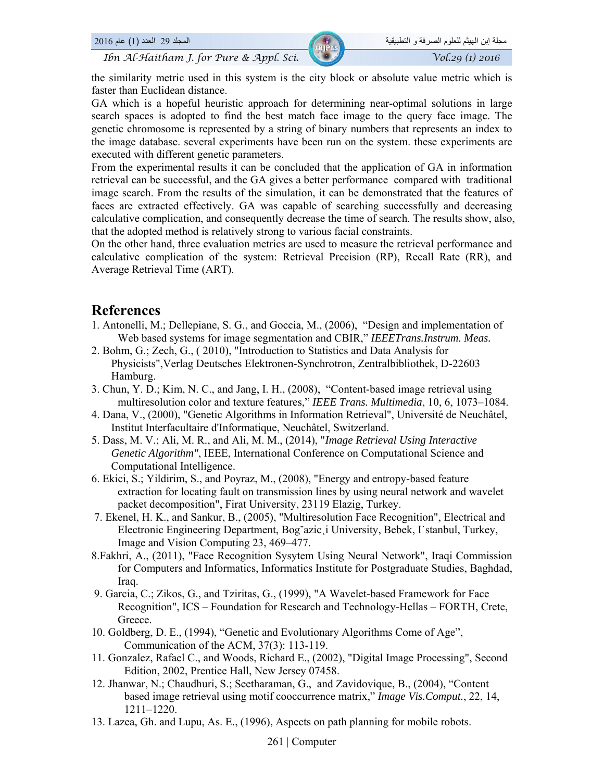*Ibn Al-Haitham J. for Pure & Appl. Sci.*  $\sqrt{0.29}$  (1) 2016

the similarity metric used in this system is the city block or absolute value metric which is faster than Euclidean distance.

GA which is a hopeful heuristic approach for determining near-optimal solutions in large search spaces is adopted to find the best match face image to the query face image. The genetic chromosome is represented by a string of binary numbers that represents an index to the image database. several experiments have been run on the system. these experiments are executed with different genetic parameters.

From the experimental results it can be concluded that the application of GA in information retrieval can be successful, and the GA gives a better performance compared with traditional image search. From the results of the simulation, it can be demonstrated that the features of faces are extracted effectively. GA was capable of searching successfully and decreasing calculative complication, and consequently decrease the time of search. The results show, also, that the adopted method is relatively strong to various facial constraints.

On the other hand, three evaluation metrics are used to measure the retrieval performance and calculative complication of the system: Retrieval Precision (RP), Recall Rate (RR), and Average Retrieval Time (ART).

# **References**

- 1. Antonelli, M.; Dellepiane, S. G., and Goccia, M., (2006), "Design and implementation of Web based systems for image segmentation and CBIR," *IEEETrans.Instrum. Meas.*
- 2. Bohm, G.; Zech, G., ( 2010), "Introduction to Statistics and Data Analysis for Physicists",Verlag Deutsches Elektronen-Synchrotron, Zentralbibliothek, D-22603 Hamburg.
- 3. Chun, Y. D.; Kim, N. C., and Jang, I. H., (2008), "Content-based image retrieval using multiresolution color and texture features," *IEEE Trans. Multimedia*, 10, 6, 1073–1084.
- 4. Dana, V., (2000), "Genetic Algorithms in Information Retrieval", Université de Neuchâtel, Institut Interfacultaire d'Informatique, Neuchâtel, Switzerland.
- 5. Dass, M. V.; Ali, M. R., and Ali, M. M., (2014), "*Image Retrieval Using Interactive Genetic Algorithm"*, IEEE, International Conference on Computational Science and Computational Intelligence.
- 6. Ekici, S.; Yildirim, S., and Poyraz, M., (2008), "Energy and entropy-based feature extraction for locating fault on transmission lines by using neural network and wavelet packet decomposition", Firat University, 23119 Elazig, Turkey.
- 7. Ekenel, H. K., and Sankur, B., (2005), "Multiresolution Face Recognition", Electrical and Electronic Engineering Department, Bog˘azic¸i University, Bebek, I˙stanbul, Turkey, Image and Vision Computing 23, 469–477.
- 8.Fakhri, A., (2011), "Face Recognition Sysytem Using Neural Network", Iraqi Commission for Computers and Informatics, Informatics Institute for Postgraduate Studies, Baghdad, Iraq.
- 9. Garcia, C.; Zikos, G., and Tziritas, G., (1999), "A Wavelet-based Framework for Face Recognition", ICS – Foundation for Research and Technology-Hellas – FORTH, Crete, Greece.
- 10. Goldberg, D. E., (1994), "Genetic and Evolutionary Algorithms Come of Age", Communication of the ACM, 37(3): 113-119.
- 11. Gonzalez, Rafael C., and Woods, Richard E., (2002), "Digital Image Processing", Second Edition, 2002, Prentice Hall, New Jersey 07458.
- 12. Jhanwar, N.; Chaudhuri, S.; Seetharaman, G., and Zavidovique, B., (2004), "Content based image retrieval using motif cooccurrence matrix," *Image Vis.Comput.*, 22, 14, 1211–1220.
- 13. Lazea, Gh. and Lupu, As. E., (1996), Aspects on path planning for mobile robots.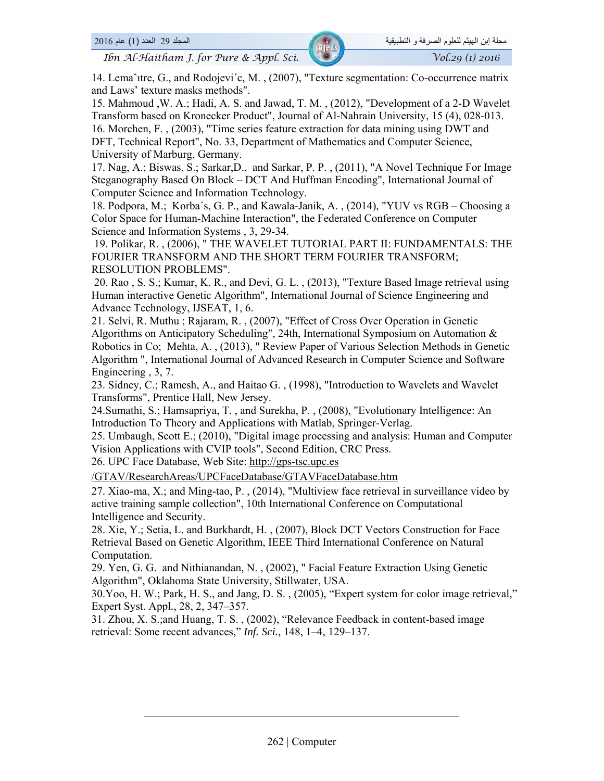*Ibn Al-Haitham J. for Pure & Appl. Sci.*  $\sqrt{V_0}$  /*Vol.29 (1) 2016* 

14. Lemaˆıtre, G., and Rodojevi´c, M. , (2007), "Texture segmentation: Co-occurrence matrix and Laws' texture masks methods".

15. Mahmoud ,W. A.; Hadi, A. S. and Jawad, T. M. , (2012), "Development of a 2-D Wavelet Transform based on Kronecker Product", Journal of Al-Nahrain University, 15 (4), 028-013. 16. Morchen, F. , (2003), "Time series feature extraction for data mining using DWT and DFT, Technical Report", No. 33, Department of Mathematics and Computer Science, University of Marburg, Germany.

17. Nag, A.; Biswas, S.; Sarkar,D., and Sarkar, P. P. , (2011), "A Novel Technique For Image Steganography Based On Block – DCT And Huffman Encoding", International Journal of Computer Science and Information Technology.

18. Podpora, M.; Korba´s, G. P., and Kawala-Janik, A. , (2014), "YUV vs RGB – Choosing a Color Space for Human-Machine Interaction", the Federated Conference on Computer Science and Information Systems , 3, 29-34.

 19. Polikar, R. , (2006), " THE WAVELET TUTORIAL PART II: FUNDAMENTALS: THE FOURIER TRANSFORM AND THE SHORT TERM FOURIER TRANSFORM; RESOLUTION PROBLEMS".

 20. Rao , S. S.; Kumar, K. R., and Devi, G. L. , (2013), "Texture Based Image retrieval using Human interactive Genetic Algorithm", International Journal of Science Engineering and Advance Technology, IJSEAT, 1, 6.

21. Selvi, R. Muthu ; Rajaram, R. , (2007), "Effect of Cross Over Operation in Genetic Algorithms on Anticipatory Scheduling", 24th, International Symposium on Automation & Robotics in Co; Mehta, A. , (2013), " Review Paper of Various Selection Methods in Genetic Algorithm ", International Journal of Advanced Research in Computer Science and Software Engineering , 3, 7.

23. Sidney, C.; Ramesh, A., and Haitao G. , (1998), "Introduction to Wavelets and Wavelet Transforms", Prentice Hall, New Jersey.

24.Sumathi, S.; Hamsapriya, T. , and Surekha, P. , (2008), "Evolutionary Intelligence: An Introduction To Theory and Applications with Matlab, Springer-Verlag.

25. Umbaugh, Scott E.; (2010), "Digital image processing and analysis: Human and Computer Vision Applications with CVIP tools", Second Edition, CRC Press.

26. UPC Face Database, Web Site: http://gps-tsc.upc.es

/GTAV/ResearchAreas/UPCFaceDatabase/GTAVFaceDatabase.htm

27. Xiao-ma, X.; and Ming-tao, P. , (2014), "Multiview face retrieval in surveillance video by active training sample collection", 10th International Conference on Computational Intelligence and Security.

28. Xie, Y.; Setia, L. and Burkhardt, H. , (2007), Block DCT Vectors Construction for Face Retrieval Based on Genetic Algorithm, IEEE Third International Conference on Natural Computation.

29. Yen, G. G. and Nithianandan, N. , (2002), " Facial Feature Extraction Using Genetic Algorithm", Oklahoma State University, Stillwater, USA.

30.Yoo, H. W.; Park, H. S., and Jang, D. S. , (2005), "Expert system for color image retrieval," Expert Syst. Appl*.*, 28, 2, 347–357.

31. Zhou, X. S.;and Huang, T. S. , (2002), "Relevance Feedback in content-based image retrieval: Some recent advances," *Inf. Sci.*, 148, 1–4, 129–137.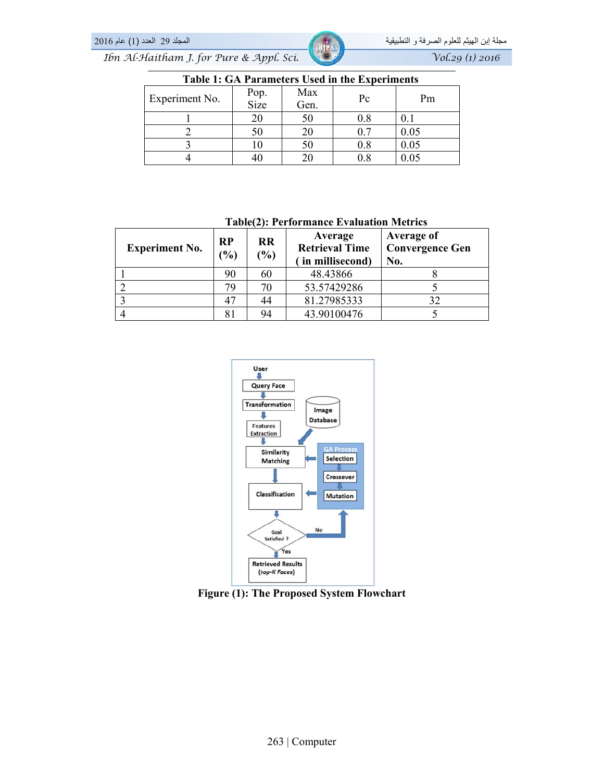**Table 1: GA Parameters Used in the Experiments** 

| Tuble 11 On Furnitude of the the Experiments |              |             |           |      |  |  |  |
|----------------------------------------------|--------------|-------------|-----------|------|--|--|--|
| Experiment No.                               | Pop.<br>Size | Max<br>Gen. | Pc        | Pm   |  |  |  |
|                                              |              | 50          | $\rm 0.8$ |      |  |  |  |
|                                              |              |             | U.        | 0.05 |  |  |  |
|                                              |              | 50          | 0.8       | 0.05 |  |  |  |
|                                              |              |             | 0.8       | 0.05 |  |  |  |

| <b>Experiment No.</b> | <b>RP</b><br>$\frac{1}{2}$ | <b>RR</b><br>$(\%)$ | Average<br><b>Retrieval Time</b><br>in millisecond) | <b>Average of</b><br><b>Convergence Gen</b><br>No. |
|-----------------------|----------------------------|---------------------|-----------------------------------------------------|----------------------------------------------------|
|                       | 90                         | 60                  | 48.43866                                            |                                                    |
|                       | 79                         | 70                  | 53.57429286                                         |                                                    |
|                       |                            | 44                  | 81.27985333                                         | 32                                                 |
|                       |                            | 94                  | 43.90100476                                         |                                                    |





**Figure (1): The Proposed System Flowchart**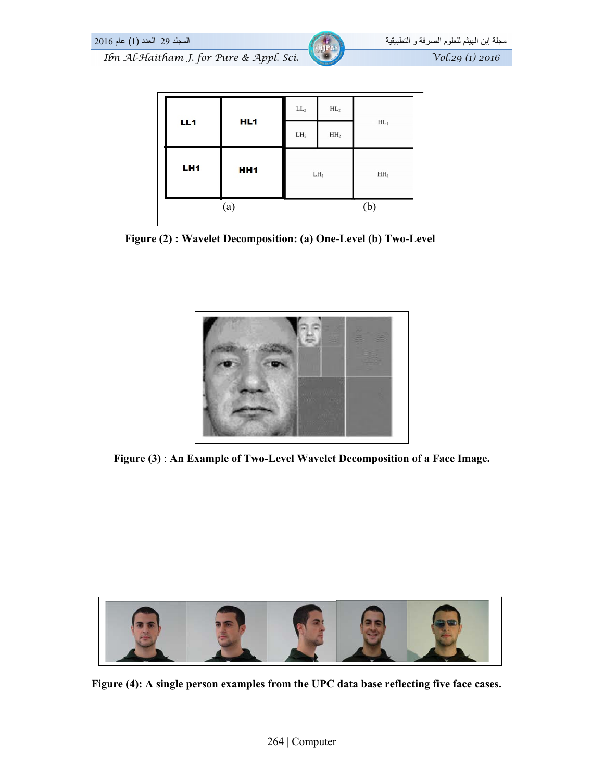

| LH <sub>1</sub> | HH <sub>1</sub><br>(a) | $LH_1$          |                 | HH <sub>1</sub><br>(b) |
|-----------------|------------------------|-----------------|-----------------|------------------------|
|                 |                        | LH <sub>2</sub> | HH <sub>2</sub> |                        |
| LL1             | HL <sub>1</sub>        | $\rm LL_2$      | $\rm HL_2$      | $HL_1$                 |

**Figure (2) : Wavelet Decomposition: (a) One-Level (b) Two-Level**



**Figure (3)** : **An Example of Two-Level Wavelet Decomposition of a Face Image.** 



**Figure (4): A single person examples from the UPC data base reflecting five face cases.**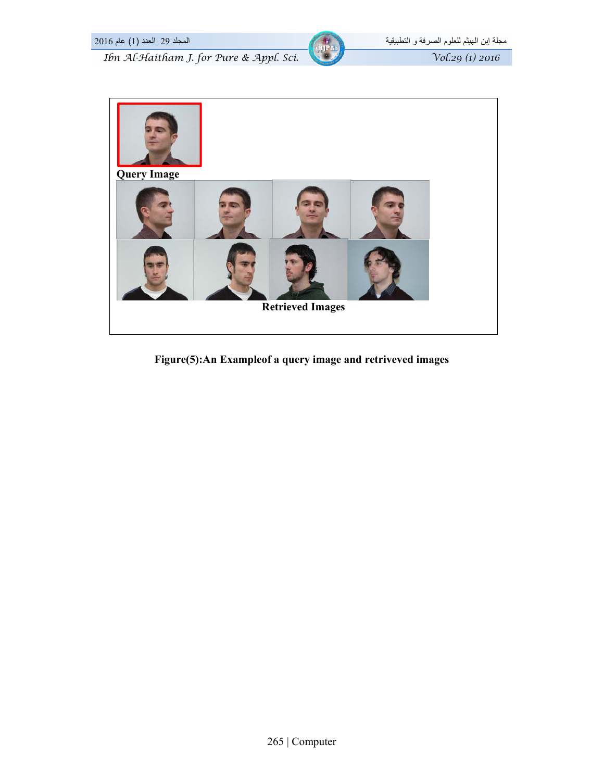



**Figure(5):An Exampleof a query image and retriveved images**